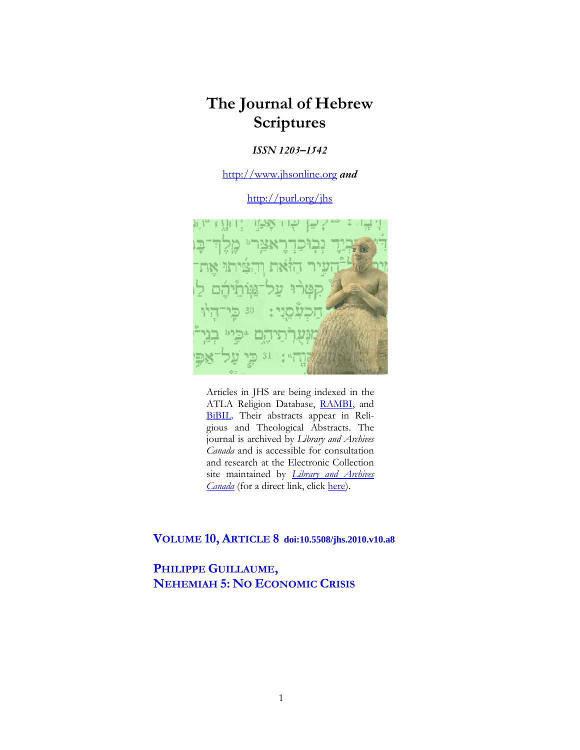# **The Journal of Hebrew Scriptures**

### *ISSN 1203–1542*

[http://www.jhsonline.org](http://www.jhsonline.org/) *and*

<http://purl.org/jhs>



Articles in JHS are being indexed in the ATLA Religion Database, [RAMBI,](http://jnul.huji.ac.il/rambi/) and [BiBIL.](https://wwwdbunil.unil.ch/bibil/bi/en/bibilhome.html) Their abstracts appear in Religious and Theological Abstracts. The journal is archived by *Library and Archives Canada* and is accessible for consultation and research at the Electronic Collection site maintained by *[Library and Archives](http://collectionscanada.ca/electroniccollection/003008-200-e.html)  [Canada](http://collectionscanada.ca/electroniccollection/003008-200-e.html)* (for a direct link, click [here\)](http://epe.lac-bac.gc.ca/100/201/300/journal_hebrew/index.html).

# **VOLUME 10, ARTICLE 8 doi:10.5508/jhs.2010.v10.a8**

**PHILIPPE GUILLAUME, NEHEMIAH 5: NO ECONOMIC CRISIS**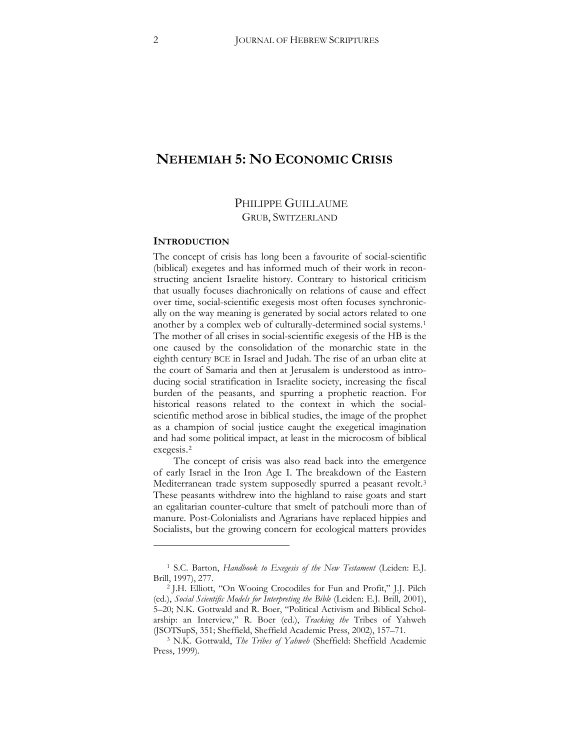# **NEHEMIAH 5: NO ECONOMIC CRISIS**

## PHILIPPE GUILLAUME GRUB, SWITZERLAND

#### **INTRODUCTION**

 $\overline{a}$ 

The concept of crisis has long been a favourite of social-scientific (biblical) exegetes and has informed much of their work in reconstructing ancient Israelite history. Contrary to historical criticism that usually focuses diachronically on relations of cause and effect over time, social-scientific exegesis most often focuses synchronically on the way meaning is generated by social actors related to one another by a complex web of culturally-determined social systems.[1](#page-1-0) The mother of all crises in social-scientific exegesis of the HB is the one caused by the consolidation of the monarchic state in the eighth century BCE in Israel and Judah. The rise of an urban elite at the court of Samaria and then at Jerusalem is understood as introducing social stratification in Israelite society, increasing the fiscal burden of the peasants, and spurring a prophetic reaction. For historical reasons related to the context in which the socialscientific method arose in biblical studies, the image of the prophet as a champion of social justice caught the exegetical imagination and had some political impact, at least in the microcosm of biblical exegesis.[2](#page-1-1)

The concept of crisis was also read back into the emergence of early Israel in the Iron Age I. The breakdown of the Eastern Mediterranean trade system supposedly spurred a peasant revolt.<sup>[3](#page-1-2)</sup> These peasants withdrew into the highland to raise goats and start an egalitarian counter-culture that smelt of patchouli more than of manure. Post-Colonialists and Agrarians have replaced hippies and Socialists, but the growing concern for ecological matters provides

<span id="page-1-0"></span><sup>1</sup> S.C. Barton, *Handbook to Exegesis of the New Testament* (Leiden: E.J. Brill, 1997), 277.

<span id="page-1-1"></span><sup>2</sup> J.H. Elliott, "On Wooing Crocodiles for Fun and Profit," J.J. Pilch (ed.), *Social Scientific Models for Interpreting the Bible* (Leiden: E.J. Brill, 2001), 5–20` N.K. Gottwald and R. Boer, "Political Activism and Biblical Scholarship: an Interview," R. Boer (ed.), *Tracking the* Tribes of Yahweh (JSOTSupS, 351; Sheffield, Sheffield Academic Press, 2002), 157-71.

<span id="page-1-2"></span><sup>3</sup> N.K. Gottwald, *The Tribes of Yahweh* (Sheffield: Sheffield Academic Press, 1999).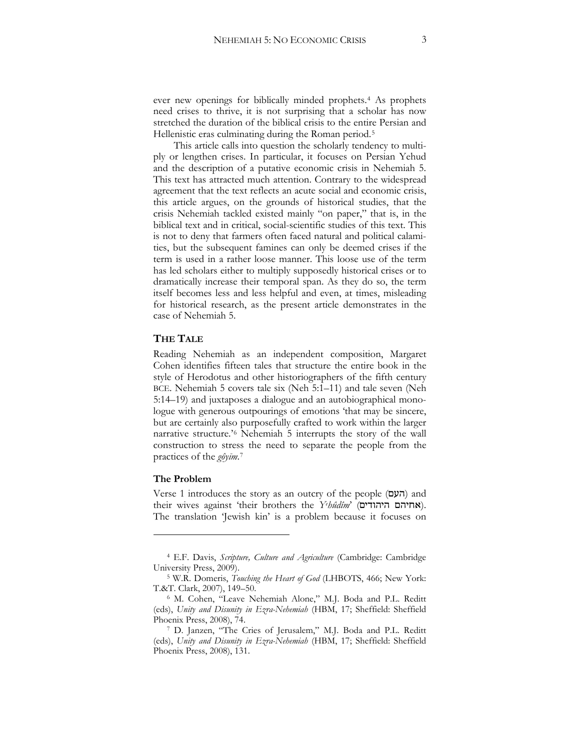ever new openings for biblically minded prophets.[4](#page-2-0) As prophets need crises to thrive, it is not surprising that a scholar has now stretched the duration of the biblical crisis to the entire Persian and Hellenistic eras culminating during the Roman period.[5](#page-2-1)

This article calls into question the scholarly tendency to multiply or lengthen crises. In particular, it focuses on Persian Yehud and the description of a putative economic crisis in Nehemiah 5. This text has attracted much attention. Contrary to the widespread agreement that the text reflects an acute social and economic crisis, this article argues, on the grounds of historical studies, that the crisis Nehemiah tackled existed mainly "on paper," that is, in the biblical text and in critical, social-scientific studies of this text. This is not to deny that farmers often faced natural and political calamities, but the subsequent famines can only be deemed crises if the term is used in a rather loose manner. This loose use of the term has led scholars either to multiply supposedly historical crises or to dramatically increase their temporal span. As they do so, the term itself becomes less and less helpful and even, at times, misleading for historical research, as the present article demonstrates in the case of Nehemiah 5.

### **THE TALE**

Reading Nehemiah as an independent composition, Margaret Cohen identifies fifteen tales that structure the entire book in the style of Herodotus and other historiographers of the fifth century BCE. Nehemiah 5 covers tale six (Neh 5:1–11) and tale seven (Neh 5:14–19) and juxtaposes a dialogue and an autobiographical monologue with generous outpourings of emotions 'that may be sincere, but are certainly also purposefully crafted to work within the larger narrative structure.'[6](#page-2-2) Nehemiah 5 interrupts the story of the wall construction to stress the need to separate the people from the practices of the *gôyīm*.<sup>[7](#page-2-3)</sup>

### **The Problem**

 $\overline{a}$ 

Verse 1 introduces the story as an outcry of the people (העם) and their wives against 'their brothers the *Yehûdîm*' (אחיהם היהודים). The translation 'Jewish kin' is a problem because it focuses on

<sup>4</sup> E.F. Davis, *Scripture, Culture and Agriculture* (Cambridge: Cambridge University Press, 2009).

<span id="page-2-2"></span><span id="page-2-1"></span><span id="page-2-0"></span><sup>&</sup>lt;sup>5</sup> W.R. Domeris, *Touching the Heart of God* (LHBOTS, 466; New York: T.&T. Clark, 2007), 149–50.

<sup>6</sup> M. Cohen, "Leave Nehemiah Alone," M.J. Boda and P.L. Reditt (eds), *Unity and Disunity in Ezra-Nehemiah* (HBM, 17; Sheffield: Sheffield Phoenix Press, 2008), 74.

<span id="page-2-3"></span><sup>7</sup> D. Janzen, "The Cries of Jerusalem," M.J. Boda and P.L. Reditt (eds), *Unity and Disunity in Ezra-Nehemiah* (HBM, 17; Sheffield: Sheffield Phoenix Press, 2008), 131.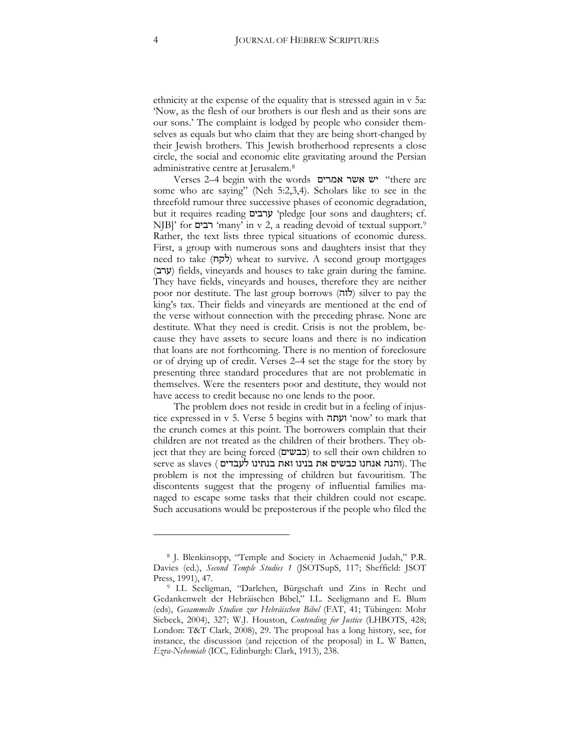ethnicity at the expense of the equality that is stressed again in v 5a: 'Now, as the flesh of our brothers is our flesh and as their sons are our sons.' The complaint is lodged by people who consider themselves as equals but who claim that they are being short-changed by their Jewish brothers. This Jewish brotherhood represents a close circle, the social and economic elite gravitating around the Persian administrative centre at Jerusalem.[8](#page-3-0)

Verses 2–4 begin with the words  $\overline{v}$  with  $\overline{v}$  "there are some who are saying" (Neh 5:2,3,4). Scholars like to see in the threefold rumour three successive phases of economic degradation, but it requires reading ערבים 'pledge [our sons and daughters; cf. NJB]' for רבים 'many' in v 2, a reading devoid of textual support.<sup>[9](#page-3-1)</sup> Rather, the text lists three typical situations of economic duress. First, a group with numerous sons and daughters insist that they need to take  $(7)$ ) wheat to survive. A second group mortgages  $(27)$  fields, vineyards and houses to take grain during the famine. They have fields, vineyards and houses, therefore they are neither poor nor destitute. The last group borrows (לוה) silver to pay the king's tax. Their fields and vineyards are mentioned at the end of the verse without connection with the preceding phrase. None are destitute. What they need is credit. Crisis is not the problem, because they have assets to secure loans and there is no indication that loans are not forthcoming. There is no mention of foreclosure or of drying up of credit. Verses 2–4 set the stage for the story by presenting three standard procedures that are not problematic in themselves. Were the resenters poor and destitute, they would not have access to credit because no one lends to the poor.

The problem does not reside in credit but in a feeling of injustice expressed in v 5. Verse 5 begins with **'turn'** 'now' to mark that the crunch comes at this point. The borrowers complain that their children are not treated as the children of their brothers. They object that they are being forced (בבשים) to sell their own children to serve as slaves ( הנה אנחנו כבשים את בנינו ואת בנתינו $\,$ . The problem is not the impressing of children but favouritism. The discontents suggest that the progeny of influential families managed to escape some tasks that their children could not escape. Such accusations would be preposterous if the people who filed the

<span id="page-3-0"></span><sup>8</sup> J. Blenkinsopp, "Temple and Society in Achaemenid Judah," P.R. Davies (ed.), *Second Temple Studies 1* (JSOTSupS, 117; Sheffield: JSOT Press, 1991), 47.

<span id="page-3-1"></span><sup>9</sup> I.L Seeligman, "Darlehen, Bürgschaft und Zins in Recht und Gedankenwelt der Hebräischen Bibel," I.L. Seeligmann and E. Blum (eds), *Gesammelte Studien zur Hebräischen Bibel* (FAT, 41` Tübingen: Mohr Siebeck, 2004), 327; W.J. Houston, *Contending for Justice* (LHBOTS, 428; London: T&T Clark, 2008), 29. The proposal has a long history, see, for instance, the discussion (and rejection of the proposal) in L. W Batten, *Ezra-Nehemiah* (ICC, Edinburgh: Clark, 1913), 238.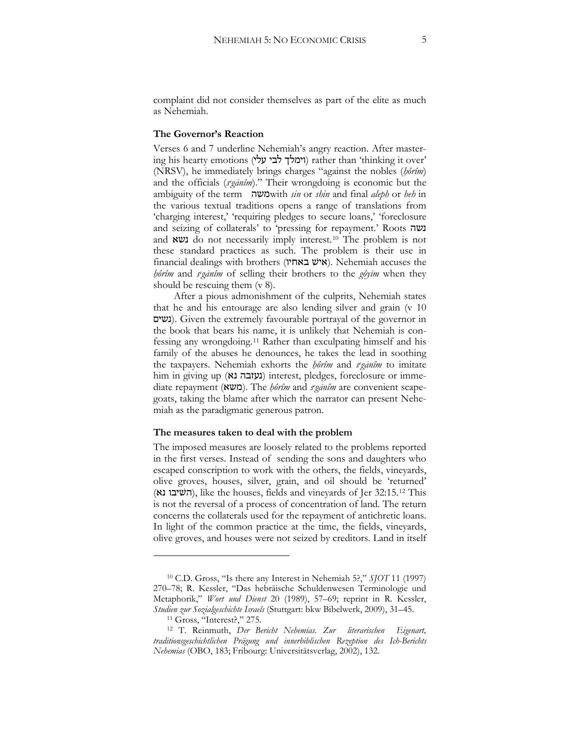complaint did not consider themselves as part of the elite as much as Nehemiah.

### **The Governor's Reaction**

Verses 6 and 7 underline Nehemiah's angry reaction. After mastering his hearty emotions (וימלך לבי עלי) rather than 'thinking it over' (NRSV), he immediately brings charges "against the nobles (*hôrîm*) and the officials (*s<sup>eganim*)." Their wrongdoing is economic but the</sup> ambiguity of the term !</with *sin* or *shin* and final *aleph* or *heh* in the various textual traditions opens a range of translations from 'charging interest,' 'requiring pledges to secure loans,' 'foreclosure and seizing of collaterals' to 'pressing for repayment.' Roots נשה and **xv** do not necessarily imply interest.<sup>[10](#page-4-0)</sup> The problem is not these standard practices as such. The problem is their use in financial dealings with brothers (איש באחיו). Nehemiah accuses the *hôrîm* and *seganîm* of selling their brothers to the *gôyīm* when they should be rescuing them (v 8).

After a pious admonishment of the culprits, Nehemiah states that he and his entourage are also lending silver and grain (v 10 -'<1). Given the extremely favourable portrayal of the governor in the book that bears his name, it is unlikely that Nehemiah is confessing any wrongdoing.[11](#page-4-1) Rather than exculpating himself and his family of the abuses he denounces, he takes the lead in soothing the taxpayers. Nehemiah exhorts the *hôrîm* and *seganîm* to imitate him in giving up (געזבה נא) interest, pledges, foreclosure or immediate repayment (משא). The *hôrîm* and *seganîm* are convenient scapegoats, taking the blame after which the narrator can present Nehemiah as the paradigmatic generous patron.

#### **The measures taken to deal with the problem**

The imposed measures are loosely related to the problems reported in the first verses. Instead of sending the sons and daughters who escaped conscription to work with the others, the fields, vineyards, olive groves, houses, silver, grain, and oil should be 'returned' (השיבו נא), like the houses, fields and vineyards of Jer 32:15.<sup>[12](#page-4-2)</sup> This is not the reversal of a process of concentration of land. The return concerns the collaterals used for the repayment of antichretic loans. In light of the common practice at the time, the fields, vineyards, olive groves, and houses were not seized by creditors. Land in itself

<span id="page-4-0"></span><sup>10</sup> C.D. Gross, "Is there any Interest in Nehemiah 5?," *SJOT* 11 (1997) 270–78; R. Kessler, "Das hebräische Schuldenwesen Terminologie und Metaphorik," Wort und Dienst 20 (1989), 57-69; reprint in R. Kessler, *Studien zur Sozialgeschichte Israels* (Stuttgart: bkw Bibelwerk, 2009), 31–45.

<sup>&</sup>lt;sup>11</sup> Gross, "Interest?," 275.

<span id="page-4-2"></span><span id="page-4-1"></span><sup>12</sup> T. Reinmuth, *Der Bericht Nehemias. Zur literarischen Eigenart, traditionsgeschichtlichen Prägung und innerbiblischen Rezeption des Ich-Berichts Nehemias* (OBO, 183` Fribourg: Universitätsverlag, 2002), 132.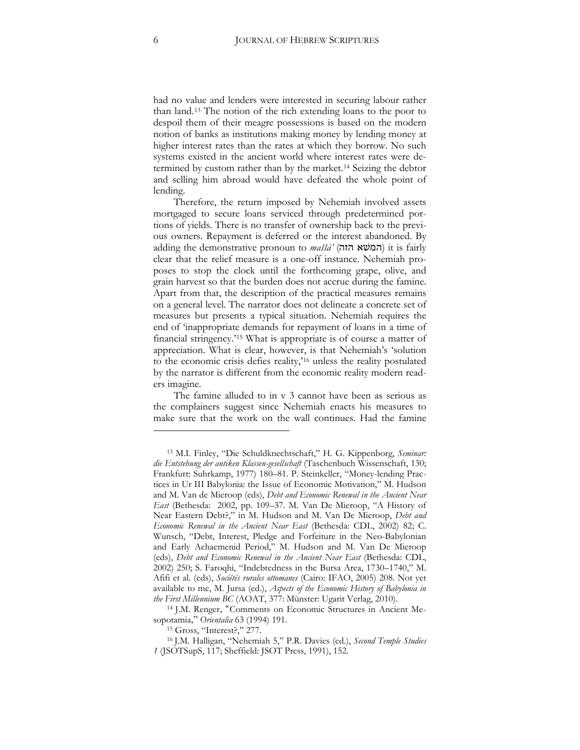had no value and lenders were interested in securing labour rather than land.[13](#page-5-0) The notion of the rich extending loans to the poor to despoil them of their meagre possessions is based on the modern notion of banks as institutions making money by lending money at higher interest rates than the rates at which they borrow. No such systems existed in the ancient world where interest rates were determined by custom rather than by the market.[14](#page-5-1) Seizing the debtor and selling him abroad would have defeated the whole point of lending.

Therefore, the return imposed by Nehemiah involved assets mortgaged to secure loans serviced through predetermined portions of yields. There is no transfer of ownership back to the previous owners. Repayment is deferred or the interest abandoned. By adding the demonstrative pronoun to *maššā*' (המשא הזה) it is fairly clear that the relief measure is a one-off instance. Nehemiah proposes to stop the clock until the forthcoming grape, olive, and grain harvest so that the burden does not accrue during the famine. Apart from that, the description of the practical measures remains on a general level. The narrator does not delineate a concrete set of measures but presents a typical situation. Nehemiah requires the end of 'inappropriate demands for repayment of loans in a time of financial stringency.'[15](#page-5-2) What is appropriate is of course a matter of appreciation. What is clear, however, is that Nehemiah's 'solution to the economic crisis defies reality,'[16](#page-5-3) unless the reality postulated by the narrator is different from the economic reality modern readers imagine.

The famine alluded to in v 3 cannot have been as serious as the complainers suggest since Nehemiah enacts his measures to make sure that the work on the wall continues. Had the famine

<span id="page-5-0"></span><sup>13</sup> M.I. Finley, "Die Schuldknechtschaft," H. G. Kippenborg, *Seminar: die Entstehung der antiken Klassen-gesellschaft* (Taschenbuch Wissenschaft, 130` Frankfurt: Suhrkamp, 1977) 180–81. P. Steinkeller, "Money-lending Practices in Ur III Babylonia: the Issue of Economic Motivation," M. Hudson and M. Van de Mieroop (eds), *Debt and Economic Renewal in the Ancient Near East* (Bethesda: 2002, pp. 109–37. M. Van De Mieroop, "A History of Near Eastern Debt?," in M. Hudson and M. Van De Mieroop, *Debt and Economic Renewal in the Ancient Near East (Bethesda: CDL, 2002) 82; C.* Wunsch, "Debt, Interest, Pledge and Forfeiture in the Neo-Babylonian and Early Achaemenid Period," M. Hudson and M. Van De Mieroop (eds), *Debt and Economic Renewal in the Ancient Near East* (Bethesda: CDL, 2002) 250; S. Faroqhi, "Indebtedness in the Bursa Area, 1730–1740," M. Afifi et al. (eds), *Sociétés rurales ottomanes* (Cairo: IFAO, 2005) 208. Not yet available to me, M. Jursa (ed.), *Aspects of the Economic History of Babylonia in the First Millennium BC* (AOAT, 377: Münster: Ugarit Verlag, 2010).

<span id="page-5-1"></span><sup>14</sup> J.M. Renger, "Comments on Economic Structures in Ancient Mesopotamia," *Orientalia* 63 (1994) 191.

<sup>15</sup> Gross, "Interest?," 277.

<span id="page-5-3"></span><span id="page-5-2"></span><sup>16</sup> J.M. Halligan, "Nehemiah 5," P.R. Davies (ed.), *Second Temple Studies 1* (JSOTSupS, 117; Sheffield: JSOT Press, 1991), 152.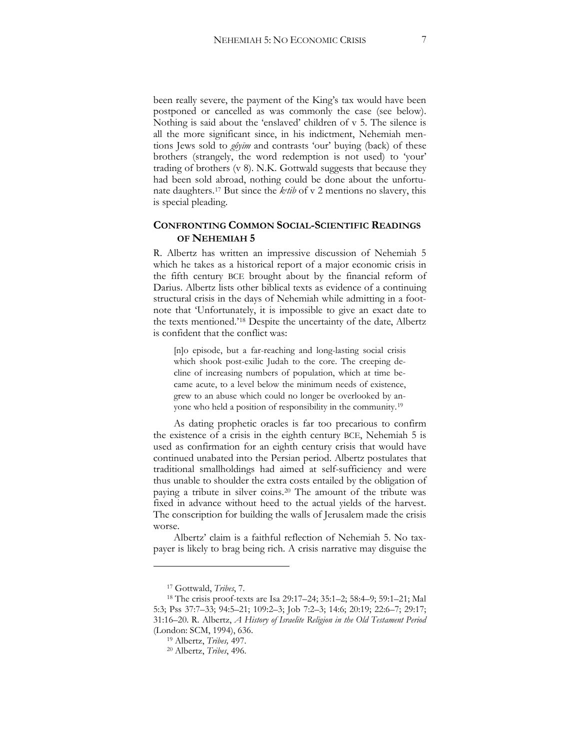been really severe, the payment of the King's tax would have been postponed or cancelled as was commonly the case (see below). Nothing is said about the 'enslaved' children of v 5. The silence is all the more significant since, in his indictment, Nehemiah mentions Jews sold to *gôyīm* and contrasts 'our' buying (back) of these brothers (strangely, the word redemption is not used) to 'your' trading of brothers (v 8). N.K. Gottwald suggests that because they had been sold abroad, nothing could be done about the unfortunate daughters.[17](#page-6-0) But since the *ke tib* of v 2 mentions no slavery, this is special pleading.

### **CONFRONTING COMMON SOCIAL-SCIENTIFIC READINGS OF NEHEMIAH 5**

R. Albertz has written an impressive discussion of Nehemiah 5 which he takes as a historical report of a major economic crisis in the fifth century BCE brought about by the financial reform of Darius. Albertz lists other biblical texts as evidence of a continuing structural crisis in the days of Nehemiah while admitting in a footnote that 'Unfortunately, it is impossible to give an exact date to the texts mentioned.'[18](#page-6-1) Despite the uncertainty of the date, Albertz is confident that the conflict was:

[n]o episode, but a far-reaching and long-lasting social crisis which shook post-exilic Judah to the core. The creeping decline of increasing numbers of population, which at time became acute, to a level below the minimum needs of existence, grew to an abuse which could no longer be overlooked by anyone who held a position of responsibility in the community.[19](#page-6-2)

As dating prophetic oracles is far too precarious to confirm the existence of a crisis in the eighth century BCE, Nehemiah 5 is used as confirmation for an eighth century crisis that would have continued unabated into the Persian period. Albertz postulates that traditional smallholdings had aimed at self-sufficiency and were thus unable to shoulder the extra costs entailed by the obligation of paying a tribute in silver coins.[20](#page-6-3) The amount of the tribute was fixed in advance without heed to the actual yields of the harvest. The conscription for building the walls of Jerusalem made the crisis worse.

Albertz' claim is a faithful reflection of Nehemiah 5. No taxpayer is likely to brag being rich. A crisis narrative may disguise the

<sup>17</sup> Gottwald, *Tribes*, 7.

<span id="page-6-3"></span><span id="page-6-2"></span><span id="page-6-1"></span><span id="page-6-0"></span><sup>&</sup>lt;sup>18</sup> The crisis proof-texts are Isa 29:17–24; 35:1–2; 58:4–9; 59:1–21; Mal 5:3; Pss 37:7–33; 94:5–21; 109:2–3; Job 7:2–3; 14:6; 20:19; 22:6–7; 29:17; 31:16–20. R. Albertz, *A History of Israelite Religion in the Old Testament Period*  (London: SCM, 1994), 636.

<sup>19</sup> Albertz, *Tribes,* 497.

<sup>20</sup> Albertz, *Tribes*, 496.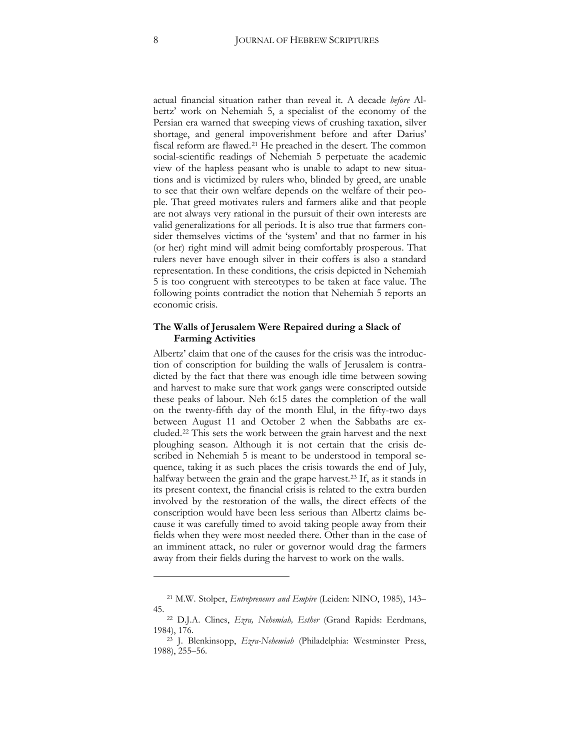actual financial situation rather than reveal it. A decade *before* Albertz' work on Nehemiah 5, a specialist of the economy of the Persian era warned that sweeping views of crushing taxation, silver shortage, and general impoverishment before and after Darius' fiscal reform are flawed.[21](#page-7-0) He preached in the desert. The common social-scientific readings of Nehemiah 5 perpetuate the academic view of the hapless peasant who is unable to adapt to new situations and is victimized by rulers who, blinded by greed, are unable to see that their own welfare depends on the welfare of their people. That greed motivates rulers and farmers alike and that people are not always very rational in the pursuit of their own interests are valid generalizations for all periods. It is also true that farmers consider themselves victims of the 'system' and that no farmer in his (or her) right mind will admit being comfortably prosperous. That rulers never have enough silver in their coffers is also a standard representation. In these conditions, the crisis depicted in Nehemiah 5 is too congruent with stereotypes to be taken at face value. The following points contradict the notion that Nehemiah 5 reports an economic crisis.

### **The Walls of Jerusalem Were Repaired during a Slack of Farming Activities**

Albertz' claim that one of the causes for the crisis was the introduction of conscription for building the walls of Jerusalem is contradicted by the fact that there was enough idle time between sowing and harvest to make sure that work gangs were conscripted outside these peaks of labour. Neh 6:15 dates the completion of the wall on the twenty-fifth day of the month Elul, in the fifty-two days between August 11 and October 2 when the Sabbaths are excluded.[22](#page-7-1) This sets the work between the grain harvest and the next ploughing season. Although it is not certain that the crisis described in Nehemiah 5 is meant to be understood in temporal sequence, taking it as such places the crisis towards the end of July, halfway between the grain and the grape harvest.<sup>[23](#page-7-2)</sup> If, as it stands in its present context, the financial crisis is related to the extra burden involved by the restoration of the walls, the direct effects of the conscription would have been less serious than Albertz claims because it was carefully timed to avoid taking people away from their fields when they were most needed there. Other than in the case of an imminent attack, no ruler or governor would drag the farmers away from their fields during the harvest to work on the walls.

<span id="page-7-0"></span><sup>21</sup> M.W. Stolper, *Entrepreneurs and Empire* (Leiden: NINO, 1985), 143– 45.

<span id="page-7-1"></span><sup>22</sup> D.J.A. Clines, *Ezra, Nehemiah, Esther* (Grand Rapids: Eerdmans, 1984), 176.

<span id="page-7-2"></span><sup>23</sup> J. Blenkinsopp, *Ezra-Nehemiah* (Philadelphia: Westminster Press, 1988), 255–56.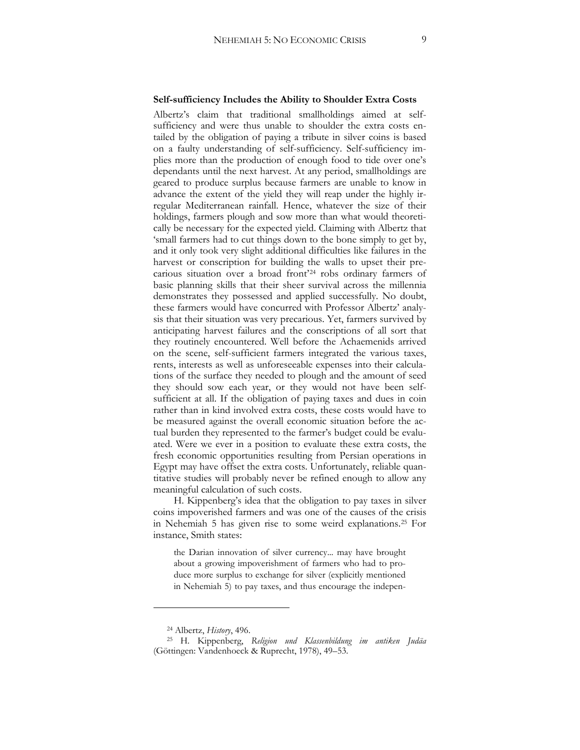#### **Self-sufficiency Includes the Ability to Shoulder Extra Costs**

Albertz's claim that traditional smallholdings aimed at selfsufficiency and were thus unable to shoulder the extra costs entailed by the obligation of paying a tribute in silver coins is based on a faulty understanding of self-sufficiency. Self-sufficiency implies more than the production of enough food to tide over one's dependants until the next harvest. At any period, smallholdings are geared to produce surplus because farmers are unable to know in advance the extent of the yield they will reap under the highly irregular Mediterranean rainfall. Hence, whatever the size of their holdings, farmers plough and sow more than what would theoretically be necessary for the expected yield. Claiming with Albertz that 'small farmers had to cut things down to the bone simply to get by, and it only took very slight additional difficulties like failures in the harvest or conscription for building the walls to upset their precarious situation over a broad front'[24](#page-8-0) robs ordinary farmers of basic planning skills that their sheer survival across the millennia demonstrates they possessed and applied successfully. No doubt, these farmers would have concurred with Professor Albertz' analysis that their situation was very precarious. Yet, farmers survived by anticipating harvest failures and the conscriptions of all sort that they routinely encountered. Well before the Achaemenids arrived on the scene, self-sufficient farmers integrated the various taxes, rents, interests as well as unforeseeable expenses into their calculations of the surface they needed to plough and the amount of seed they should sow each year, or they would not have been selfsufficient at all. If the obligation of paying taxes and dues in coin rather than in kind involved extra costs, these costs would have to be measured against the overall economic situation before the actual burden they represented to the farmer's budget could be evaluated. Were we ever in a position to evaluate these extra costs, the fresh economic opportunities resulting from Persian operations in Egypt may have offset the extra costs. Unfortunately, reliable quantitative studies will probably never be refined enough to allow any meaningful calculation of such costs.

H. Kippenberg's idea that the obligation to pay taxes in silver coins impoverished farmers and was one of the causes of the crisis in Nehemiah 5 has given rise to some weird explanations[.25](#page-8-1) For instance, Smith states:

the Darian innovation of silver currency... may have brought about a growing impoverishment of farmers who had to produce more surplus to exchange for silver (explicitly mentioned in Nehemiah 5) to pay taxes, and thus encourage the indepen-

<sup>24</sup> Albertz, *History*, 496.

<span id="page-8-1"></span><span id="page-8-0"></span><sup>25</sup> H. Kippenberg, *Religion und Klassenbildung im antiken Judäa*  (Göttingen: Vandenhoeck & Ruprecht, 1978), 49–53.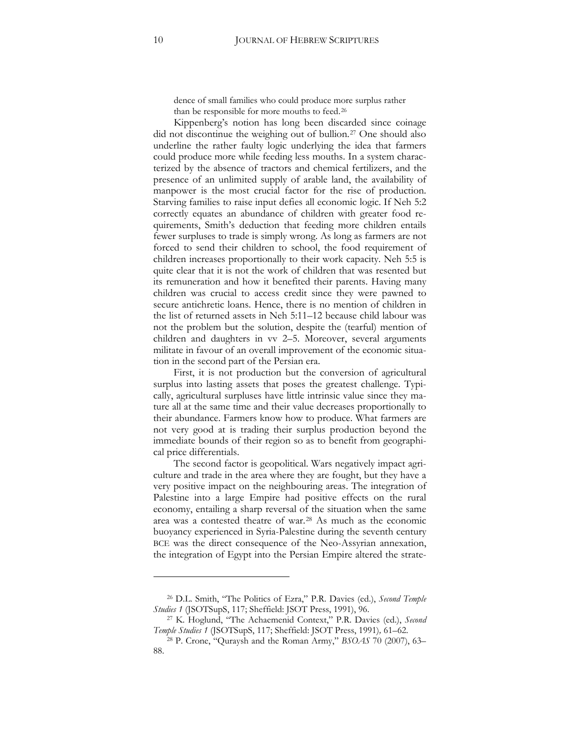dence of small families who could produce more surplus rather than be responsible for more mouths to feed.[26](#page-9-0)

Kippenberg's notion has long been discarded since coinage did not discontinue the weighing out of bullion[.27](#page-9-1) One should also underline the rather faulty logic underlying the idea that farmers could produce more while feeding less mouths. In a system characterized by the absence of tractors and chemical fertilizers, and the presence of an unlimited supply of arable land, the availability of manpower is the most crucial factor for the rise of production. Starving families to raise input defies all economic logic. If Neh 5:2 correctly equates an abundance of children with greater food requirements, Smith's deduction that feeding more children entails fewer surpluses to trade is simply wrong. As long as farmers are not forced to send their children to school, the food requirement of children increases proportionally to their work capacity. Neh 5:5 is quite clear that it is not the work of children that was resented but its remuneration and how it benefited their parents. Having many children was crucial to access credit since they were pawned to secure antichretic loans. Hence, there is no mention of children in the list of returned assets in Neh 5:11–12 because child labour was not the problem but the solution, despite the (tearful) mention of children and daughters in vv 2–5. Moreover, several arguments militate in favour of an overall improvement of the economic situation in the second part of the Persian era.

First, it is not production but the conversion of agricultural surplus into lasting assets that poses the greatest challenge. Typically, agricultural surpluses have little intrinsic value since they mature all at the same time and their value decreases proportionally to their abundance. Farmers know how to produce. What farmers are not very good at is trading their surplus production beyond the immediate bounds of their region so as to benefit from geographical price differentials.

The second factor is geopolitical. Wars negatively impact agriculture and trade in the area where they are fought, but they have a very positive impact on the neighbouring areas. The integration of Palestine into a large Empire had positive effects on the rural economy, entailing a sharp reversal of the situation when the same area was a contested theatre of war.[28](#page-9-2) As much as the economic buoyancy experienced in Syria-Palestine during the seventh century BCE was the direct consequence of the Neo-Assyrian annexation, the integration of Egypt into the Persian Empire altered the strate-

<sup>26</sup> D.L. Smith, "The Politics of Ezra," P.R. Davies (ed.), *Second Temple Studies 1* (JSOTSupS, 117; Sheffield: JSOT Press, 1991), 96.

<span id="page-9-0"></span><sup>27</sup> K. Hoglund, "The Achaemenid Context," P.R. Davies (ed.), *Second Temple Studies 1* (JSOTSupS, 117` Sheffield: JSOT Press, 1991)*,* 61–62.

<span id="page-9-2"></span><span id="page-9-1"></span><sup>28</sup> P. Crone, "Quraysh and the Roman Army," *BSOAS* 70 (2007), 63– 88.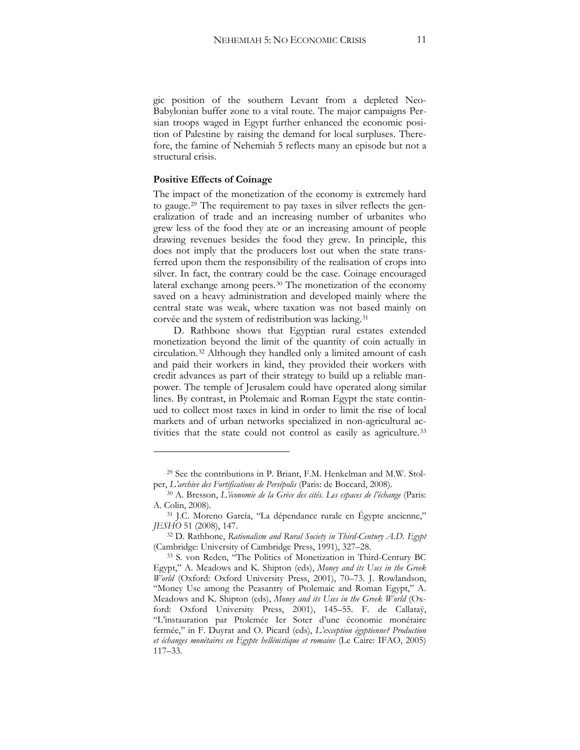gic position of the southern Levant from a depleted Neo-Babylonian buffer zone to a vital route. The major campaigns Persian troops waged in Egypt further enhanced the economic position of Palestine by raising the demand for local surpluses. Therefore, the famine of Nehemiah 5 reflects many an episode but not a structural crisis.

### **Positive Effects of Coinage**

 $\overline{a}$ 

The impact of the monetization of the economy is extremely hard to gauge[.29](#page-10-0) The requirement to pay taxes in silver reflects the generalization of trade and an increasing number of urbanites who grew less of the food they ate or an increasing amount of people drawing revenues besides the food they grew. In principle, this does not imply that the producers lost out when the state transferred upon them the responsibility of the realisation of crops into silver. In fact, the contrary could be the case. Coinage encouraged lateral exchange among peers.[30](#page-10-1) The monetization of the economy saved on a heavy administration and developed mainly where the central state was weak, where taxation was not based mainly on corvée and the system of redistribution was lacking.[31](#page-10-2)

D. Rathbone shows that Egyptian rural estates extended monetization beyond the limit of the quantity of coin actually in circulation.[32](#page-10-3) Although they handled only a limited amount of cash and paid their workers in kind, they provided their workers with credit advances as part of their strategy to build up a reliable manpower. The temple of Jerusalem could have operated along similar lines. By contrast, in Ptolemaic and Roman Egypt the state continued to collect most taxes in kind in order to limit the rise of local markets and of urban networks specialized in non-agricultural ac-tivities that the state could not control as easily as agriculture.<sup>[33](#page-10-4)</sup>

<sup>29</sup> See the contributions in P. Briant, F.M. Henkelman and M.W. Stolper, *L'archive des Fortifications de Persépolis* (Paris: de Boccard, 2008).

<sup>&</sup>lt;sup>30</sup> A. Bresson, *L'économie de la Grèce des cités. Les espaces de l'échange* (Paris: A. Colin, 2008).

<span id="page-10-0"></span><sup>31</sup> J.C. Moreno García, "La dépendance rurale en Égypte ancienne," *JESHO* 51 (2008), 147.

<span id="page-10-1"></span><sup>32</sup> D. Rathbone, *Rationalism and Rural Society in Third-Century A.D. Egypt*  (Cambridge: University of Cambridge Press, 1991), 327–28.

<span id="page-10-4"></span><span id="page-10-3"></span><span id="page-10-2"></span><sup>33</sup> S. von Reden, "The Politics of Monetization in Third-Century BC Egypt," A. Meadows and K. Shipton (eds), *Money and its Uses in the Greek World* (Oxford: Oxford University Press, 2001), 70–73. J. Rowlandson, "Money Use among the Peasantry of Ptolemaic and Roman Egypt," A. Meadows and K. Shipton (eds), *Money and its Uses in the Greek World* (Oxford: Oxford University Press, 2001), 145–55. F. de Callataÿ, "L'instauration par Ptolemée Ier Soter d'une économie monétaire fermée," in F. Duyrat and O. Picard (eds), *L'exception égyptienne? Production et échanges monétaires en Egypte hellénistique et romaine* (Le Caire: IFAO, 2005) 117–33.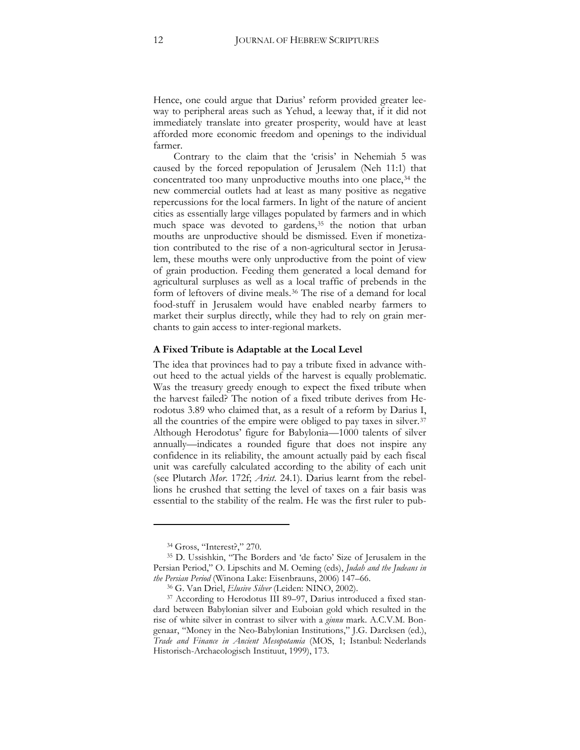Hence, one could argue that Darius' reform provided greater leeway to peripheral areas such as Yehud, a leeway that, if it did not immediately translate into greater prosperity, would have at least afforded more economic freedom and openings to the individual farmer.

Contrary to the claim that the 'crisis' in Nehemiah 5 was caused by the forced repopulation of Jerusalem (Neh 11:1) that concentrated too many unproductive mouths into one place,<sup>[34](#page-11-0)</sup> the new commercial outlets had at least as many positive as negative repercussions for the local farmers. In light of the nature of ancient cities as essentially large villages populated by farmers and in which much space was devoted to gardens,<sup>[35](#page-11-1)</sup> the notion that urban mouths are unproductive should be dismissed. Even if monetization contributed to the rise of a non-agricultural sector in Jerusalem, these mouths were only unproductive from the point of view of grain production. Feeding them generated a local demand for agricultural surpluses as well as a local traffic of prebends in the form of leftovers of divine meals.[36](#page-11-2) The rise of a demand for local food-stuff in Jerusalem would have enabled nearby farmers to market their surplus directly, while they had to rely on grain merchants to gain access to inter-regional markets.

### **A Fixed Tribute is Adaptable at the Local Level**

The idea that provinces had to pay a tribute fixed in advance without heed to the actual yields of the harvest is equally problematic. Was the treasury greedy enough to expect the fixed tribute when the harvest failed? The notion of a fixed tribute derives from Herodotus 3.89 who claimed that, as a result of a reform by Darius I, all the countries of the empire were obliged to pay taxes in silver.<sup>[37](#page-11-3)</sup> Although Herodotus' figure for Babylonia—1000 talents of silver annually—indicates a rounded figure that does not inspire any confidence in its reliability, the amount actually paid by each fiscal unit was carefully calculated according to the ability of each unit (see Plutarch *Mor.* 172f; *Arist.* 24.1). Darius learnt from the rebellions he crushed that setting the level of taxes on a fair basis was essential to the stability of the realm. He was the first ruler to pub-

<sup>34</sup> Gross, "Interest?," 270.

<span id="page-11-1"></span><span id="page-11-0"></span><sup>35</sup> D. Ussishkin, "The Borders and 'de facto' Size of Jerusalem in the Persian Period," O. Lipschits and M. Oeming (eds), *Judah and the Judeans in the Persian Period* (Winona Lake: Eisenbrauns, 2006) 147–66.

<sup>36</sup> G. Van Driel, *Elusive Silver* (Leiden: NINO, 2002).

<span id="page-11-3"></span><span id="page-11-2"></span><sup>&</sup>lt;sup>37</sup> According to Herodotus III 89-97, Darius introduced a fixed standard between Babylonian silver and Euboian gold which resulted in the rise of white silver in contrast to silver with a *ginnu* mark. A.C.V.M. Bongenaar, "Money in the Neo-Babylonian Institutions," J.G. Darcksen (ed.), Trade and Finance in Ancient Mesopotamia (MOS, 1; Istanbul: Nederlands Historisch-Archaeologisch Instituut, 1999), 173.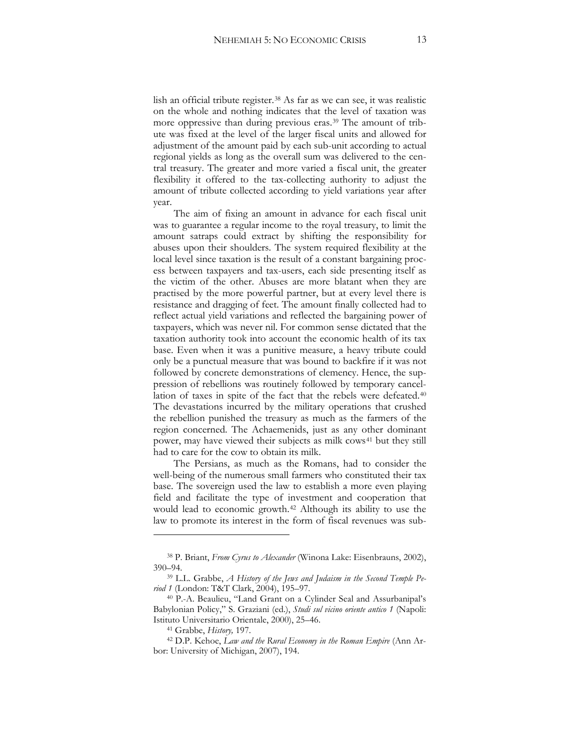lish an official tribute register.[38](#page-12-0) As far as we can see, it was realistic on the whole and nothing indicates that the level of taxation was more oppressive than during previous eras.[39](#page-12-1) The amount of tribute was fixed at the level of the larger fiscal units and allowed for adjustment of the amount paid by each sub-unit according to actual regional yields as long as the overall sum was delivered to the central treasury. The greater and more varied a fiscal unit, the greater flexibility it offered to the tax-collecting authority to adjust the amount of tribute collected according to yield variations year after year.

The aim of fixing an amount in advance for each fiscal unit was to guarantee a regular income to the royal treasury, to limit the amount satraps could extract by shifting the responsibility for abuses upon their shoulders. The system required flexibility at the local level since taxation is the result of a constant bargaining process between taxpayers and tax-users, each side presenting itself as the victim of the other. Abuses are more blatant when they are practised by the more powerful partner, but at every level there is resistance and dragging of feet. The amount finally collected had to reflect actual yield variations and reflected the bargaining power of taxpayers, which was never nil. For common sense dictated that the taxation authority took into account the economic health of its tax base. Even when it was a punitive measure, a heavy tribute could only be a punctual measure that was bound to backfire if it was not followed by concrete demonstrations of clemency. Hence, the suppression of rebellions was routinely followed by temporary cancellation of taxes in spite of the fact that the rebels were defeated.[40](#page-12-2) The devastations incurred by the military operations that crushed the rebellion punished the treasury as much as the farmers of the region concerned. The Achaemenids, just as any other dominant power, may have viewed their subjects as milk cows<sup>[41](#page-12-3)</sup> but they still had to care for the cow to obtain its milk.

The Persians, as much as the Romans, had to consider the well-being of the numerous small farmers who constituted their tax base. The sovereign used the law to establish a more even playing field and facilitate the type of investment and cooperation that would lead to economic growth.[42](#page-13-0) Although its ability to use the law to promote its interest in the form of fiscal revenues was sub-

<sup>38</sup> P. Briant, *From Cyrus to Alexander* (Winona Lake: Eisenbrauns, 2002), 390–94.

<span id="page-12-0"></span><sup>39</sup> L.L. Grabbe, *A History of the Jews and Judaism in the Second Temple Period 1* (London: T&T Clark, 2004), 195–97.

<span id="page-12-2"></span><span id="page-12-1"></span><sup>40</sup> P.-A. Beaulieu, "Land Grant on a Cylinder Seal and Assurbanipal's Babylonian Policy," S. Graziani (ed.), *Studi sul vicino oriente antico 1* (Napoli: Istituto Universitario Orientale, 2000), 25–46.

<sup>41</sup> Grabbe, *History,* 197.

<span id="page-12-3"></span><sup>42</sup> D.P. Kehoe, *Law and the Rural Economy in the Roman Empire* (Ann Arbor: University of Michigan, 2007), 194.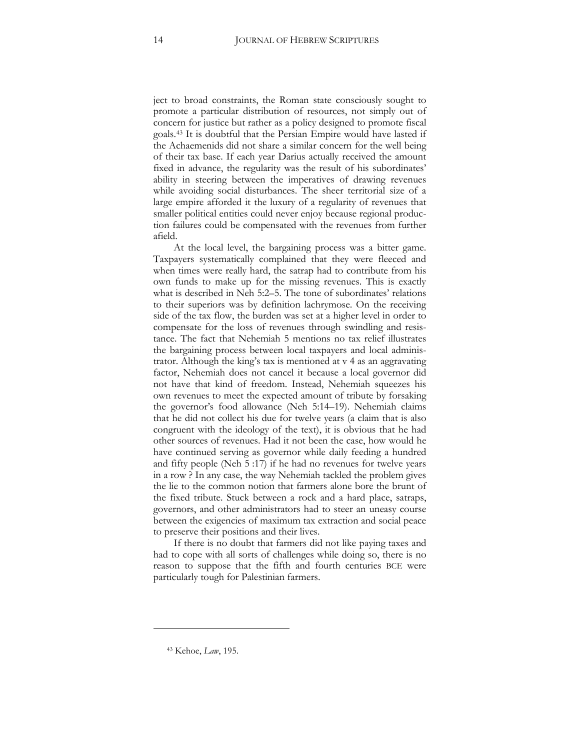ject to broad constraints, the Roman state consciously sought to promote a particular distribution of resources, not simply out of concern for justice but rather as a policy designed to promote fiscal goals.[43](#page-13-1) It is doubtful that the Persian Empire would have lasted if the Achaemenids did not share a similar concern for the well being of their tax base. If each year Darius actually received the amount fixed in advance, the regularity was the result of his subordinates' ability in steering between the imperatives of drawing revenues while avoiding social disturbances. The sheer territorial size of a large empire afforded it the luxury of a regularity of revenues that smaller political entities could never enjoy because regional production failures could be compensated with the revenues from further afield.

At the local level, the bargaining process was a bitter game. Taxpayers systematically complained that they were fleeced and when times were really hard, the satrap had to contribute from his own funds to make up for the missing revenues. This is exactly what is described in Neh 5:2–5. The tone of subordinates' relations to their superiors was by definition lachrymose. On the receiving side of the tax flow, the burden was set at a higher level in order to compensate for the loss of revenues through swindling and resistance. The fact that Nehemiah 5 mentions no tax relief illustrates the bargaining process between local taxpayers and local administrator. Although the king's tax is mentioned at v 4 as an aggravating factor, Nehemiah does not cancel it because a local governor did not have that kind of freedom. Instead, Nehemiah squeezes his own revenues to meet the expected amount of tribute by forsaking the governor's food allowance (Neh 5:14–19). Nehemiah claims that he did not collect his due for twelve years (a claim that is also congruent with the ideology of the text), it is obvious that he had other sources of revenues. Had it not been the case, how would he have continued serving as governor while daily feeding a hundred and fifty people (Neh 5 :17) if he had no revenues for twelve years in a row ? In any case, the way Nehemiah tackled the problem gives the lie to the common notion that farmers alone bore the brunt of the fixed tribute. Stuck between a rock and a hard place, satraps, governors, and other administrators had to steer an uneasy course between the exigencies of maximum tax extraction and social peace to preserve their positions and their lives.

If there is no doubt that farmers did not like paying taxes and had to cope with all sorts of challenges while doing so, there is no reason to suppose that the fifth and fourth centuries BCE were particularly tough for Palestinian farmers.

<span id="page-13-1"></span><span id="page-13-0"></span><sup>43</sup> Kehoe, *Law*, 195.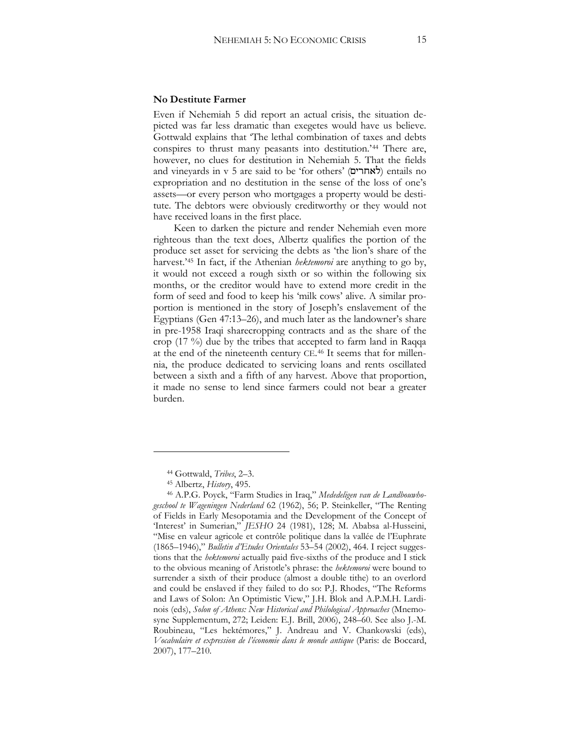### **No Destitute Farmer**

Even if Nehemiah 5 did report an actual crisis, the situation depicted was far less dramatic than exegetes would have us believe. Gottwald explains that 'The lethal combination of taxes and debts conspires to thrust many peasants into destitution.'[44](#page-14-0) There are, however, no clues for destitution in Nehemiah 5. That the fields and vineyards in v 5 are said to be 'for others' ( $\forall$ אחרים) entails no expropriation and no destitution in the sense of the loss of one's assets—or every person who mortgages a property would be destitute. The debtors were obviously creditworthy or they would not have received loans in the first place.

Keen to darken the picture and render Nehemiah even more righteous than the text does, Albertz qualifies the portion of the produce set asset for servicing the debts as 'the lion's share of the harvest.'[45](#page-14-1) In fact, if the Athenian *hektemoroi* are anything to go by, it would not exceed a rough sixth or so within the following six months, or the creditor would have to extend more credit in the form of seed and food to keep his 'milk cows' alive. A similar proportion is mentioned in the story of Joseph's enslavement of the Egyptians (Gen 47:13–26), and much later as the landowner's share in pre-1958 Iraqi sharecropping contracts and as the share of the crop (17 %) due by the tribes that accepted to farm land in Raqqa at the end of the nineteenth century CE.[46](#page-14-2) It seems that for millennia, the produce dedicated to servicing loans and rents oscillated between a sixth and a fifth of any harvest. Above that proportion, it made no sense to lend since farmers could not bear a greater burden.

<sup>44</sup> Gottwald, *Tribes*, 2–3.

<sup>45</sup> Albertz, *History*, 495.

<span id="page-14-2"></span><span id="page-14-1"></span><span id="page-14-0"></span><sup>46</sup> A.P.G. Poyck, "Farm Studies in Iraq," *Mededeligen van de Landbouwhogeschool te Wageningen Nederland* 62 (1962), 56` P. Steinkeller, "The Renting of Fields in Early Mesopotamia and the Development of the Concept of 'Interest' in Sumerian," *JESHO 24 (1981)*, 128; M. Ababsa al-Husseini, "Mise en valeur agricole et contrôle politique dans la vallée de l'Euphrate (1865–1946)," *Bulletin d'Etudes Orientales* 53–54 (2002), 464. I reject suggestions that the *hektemoroi* actually paid five-sixths of the produce and I stick to the obvious meaning of Aristotle's phrase: the *hektemoroi* were bound to surrender a sixth of their produce (almost a double tithe) to an overlord and could be enslaved if they failed to do so: P.J. Rhodes, "The Reforms and Laws of Solon: An Optimistic View," J.H. Blok and A.P.M.H. Lardinois (eds), *Solon of Athens: New Historical and Philological Approaches* (Mnemosyne Supplementum, 272; Leiden: E.J. Brill, 2006), 248–60. See also J.-M. Roubineau, "Les hektémores," J. Andreau and V. Chankowski (eds), *Vocabulaire et expression de l'économie dans le monde antique* (Paris: de Boccard, 2007), 177–210.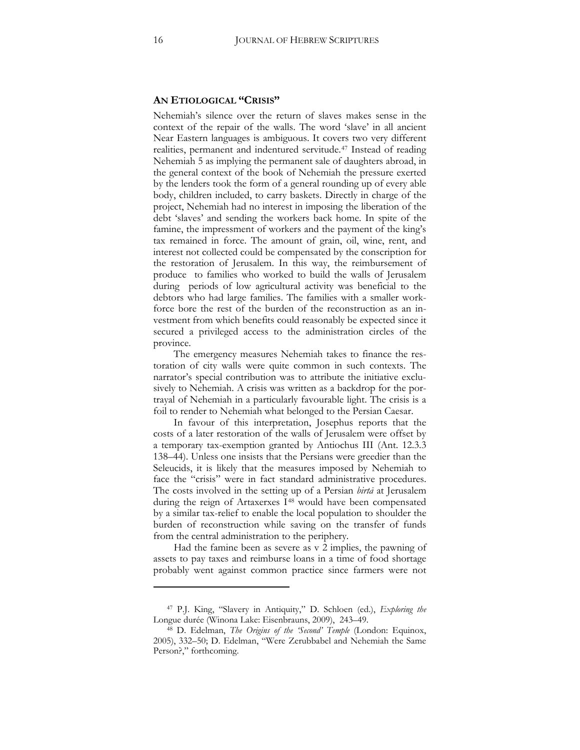### **AN ETIOLOGICAL "CRISIS"**

Nehemiah's silence over the return of slaves makes sense in the context of the repair of the walls. The word 'slave' in all ancient Near Eastern languages is ambiguous. It covers two very different realities, permanent and indentured servitude.[47](#page-15-0) Instead of reading Nehemiah 5 as implying the permanent sale of daughters abroad, in the general context of the book of Nehemiah the pressure exerted by the lenders took the form of a general rounding up of every able body, children included, to carry baskets. Directly in charge of the project, Nehemiah had no interest in imposing the liberation of the debt 'slaves' and sending the workers back home. In spite of the famine, the impressment of workers and the payment of the king's tax remained in force. The amount of grain, oil, wine, rent, and interest not collected could be compensated by the conscription for the restoration of Jerusalem. In this way, the reimbursement of produce to families who worked to build the walls of Jerusalem during periods of low agricultural activity was beneficial to the debtors who had large families. The families with a smaller workforce bore the rest of the burden of the reconstruction as an investment from which benefits could reasonably be expected since it secured a privileged access to the administration circles of the province.

The emergency measures Nehemiah takes to finance the restoration of city walls were quite common in such contexts. The narrator's special contribution was to attribute the initiative exclusively to Nehemiah. A crisis was written as a backdrop for the portrayal of Nehemiah in a particularly favourable light. The crisis is a foil to render to Nehemiah what belonged to the Persian Caesar.

In favour of this interpretation, Josephus reports that the costs of a later restoration of the walls of Jerusalem were offset by a temporary tax-exemption granted by Antiochus III (Ant. 12.3.3 138–44). Unless one insists that the Persians were greedier than the Seleucids, it is likely that the measures imposed by Nehemiah to face the "crisis" were in fact standard administrative procedures. The costs involved in the setting up of a Persian *birta* at Jerusalem during the reign of Artaxerxes I<sup>[48](#page-15-1)</sup> would have been compensated by a similar tax-relief to enable the local population to shoulder the burden of reconstruction while saving on the transfer of funds from the central administration to the periphery.

Had the famine been as severe as v 2 implies, the pawning of assets to pay taxes and reimburse loans in a time of food shortage probably went against common practice since farmers were not

<span id="page-15-0"></span><sup>47</sup> P.J. King, "Slavery in Antiquity," D. Schloen (ed.), *Exploring the*  Longue durée (Winona Lake: Eisenbrauns, 2009), 243–49.

<span id="page-15-1"></span><sup>&</sup>lt;sup>48</sup> D. Edelman, *The Origins of the 'Second' Temple* (London: Equinox, 2005), 332-50; D. Edelman, "Were Zerubbabel and Nehemiah the Same Person?," forthcoming.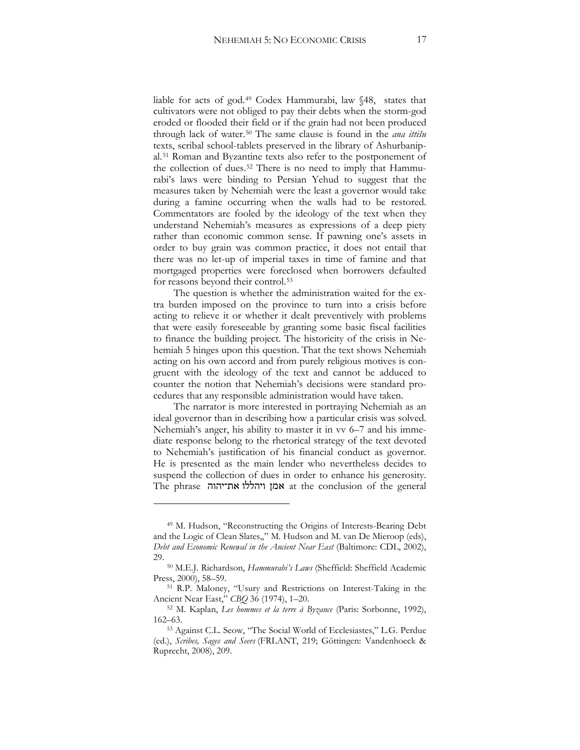liable for acts of god.[49](#page-16-0) Codex Hammurabi, law §48, states that cultivators were not obliged to pay their debts when the storm-god eroded or flooded their field or if the grain had not been produced through lack of water.[50](#page-16-1) The same clause is found in the *ana ittišu* texts, scribal school-tablets preserved in the library of Ashurbanipal.[51](#page-16-2) Roman and Byzantine texts also refer to the postponement of the collection of dues.[52](#page-16-3) There is no need to imply that Hammurabi's laws were binding to Persian Yehud to suggest that the measures taken by Nehemiah were the least a governor would take during a famine occurring when the walls had to be restored. Commentators are fooled by the ideology of the text when they understand Nehemiah's measures as expressions of a deep piety rather than economic common sense. If pawning one's assets in order to buy grain was common practice, it does not entail that there was no let-up of imperial taxes in time of famine and that mortgaged properties were foreclosed when borrowers defaulted for reasons beyond their control.[53](#page-16-4)

The question is whether the administration waited for the extra burden imposed on the province to turn into a crisis before acting to relieve it or whether it dealt preventively with problems that were easily foreseeable by granting some basic fiscal facilities to finance the building project. The historicity of the crisis in Nehemiah 5 hinges upon this question. That the text shows Nehemiah acting on his own accord and from purely religious motives is congruent with the ideology of the text and cannot be adduced to counter the notion that Nehemiah's decisions were standard procedures that any responsible administration would have taken.

The narrator is more interested in portraying Nehemiah as an ideal governor than in describing how a particular crisis was solved. Nehemiah's anger, his ability to master it in  $vv$  6–7 and his immediate response belong to the rhetorical strategy of the text devoted to Nehemiah's justification of his financial conduct as governor. He is presented as the main lender who nevertheless decides to suspend the collection of dues in order to enhance his generosity. The phrase ויהללו את־יהוה at the conclusion of the general

 $\ddot{\phantom{a}}$ 

<span id="page-16-0"></span><sup>49</sup> M. Hudson, "Reconstructing the Origins of Interests-Bearing Debt and the Logic of Clean Slates,," M. Hudson and M. van De Mieroop (eds), *Debt and Economic Renewal in the Ancient Near East* (Baltimore: CDL, 2002), 29.

<span id="page-16-1"></span><sup>&</sup>lt;sup>50</sup> M.E.J. Richardson, *Hammurabi's Laws* (Sheffield: Sheffield Academic Press, 2000), 58–59.

<span id="page-16-2"></span><sup>51</sup> R.P. Maloney, "Usury and Restrictions on Interest-Taking in the Ancient Near East," *CBQ* 36 (1974), 1–20.

<span id="page-16-3"></span><sup>52</sup> M. Kaplan, *Les hommes et la terre à Byzance* (Paris: Sorbonne, 1992), 162–63.

<span id="page-16-4"></span><sup>53</sup> Against C.L. Seow, "The Social World of Ecclesiastes," L.G. Perdue (ed.), Scribes, Sages and Seers (FRLANT, 219; Göttingen: Vandenhoeck & Ruprecht, 2008), 209.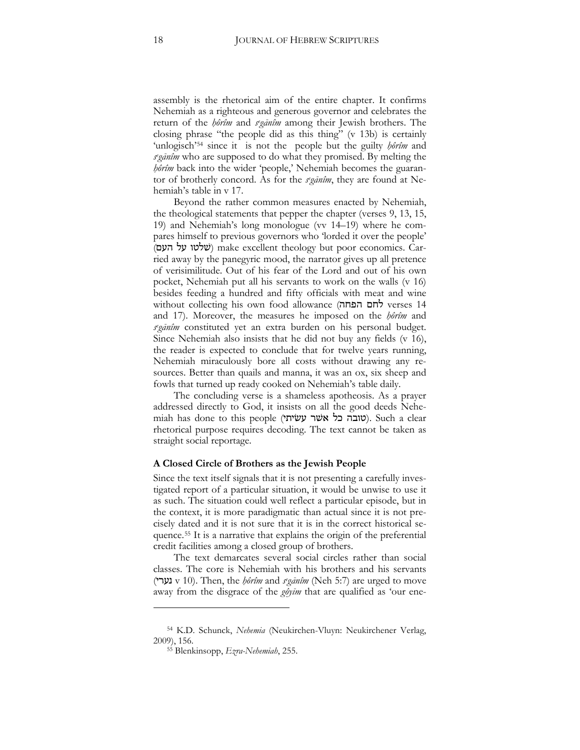assembly is the rhetorical aim of the entire chapter. It confirms Nehemiah as a righteous and generous governor and celebrates the return of the *hôrîm* and *seganîm* among their Jewish brothers. The closing phrase "the people did as this thing" (v 13b) is certainly 'unlogisch'<sup>[54](#page-17-0)</sup> since it is not the people but the guilty *hôrîm* and  $\frac{r}{q}$  who are supposed to do what they promised. By melting the *hôrîm* back into the wider 'people,' Nehemiah becomes the guarantor of brotherly concord. As for the *seganim*, they are found at Nehemiah's table in v 17.

Beyond the rather common measures enacted by Nehemiah, the theological statements that pepper the chapter (verses 9, 13, 15, 19) and Nehemiah's long monologue (vv 14–19) where he compares himself to previous governors who 'lorded it over the people' (שלטו על העם) make excellent theology but poor economics. Carried away by the panegyric mood, the narrator gives up all pretence of verisimilitude. Out of his fear of the Lord and out of his own pocket, Nehemiah put all his servants to work on the walls (v 16) besides feeding a hundred and fifty officials with meat and wine without collecting his own food allowance (חם הפחה and 17). Moreover, the measures he imposed on the *hôrîm* and seganîm constituted yet an extra burden on his personal budget. Since Nehemiah also insists that he did not buy any fields (v 16), the reader is expected to conclude that for twelve years running, Nehemiah miraculously bore all costs without drawing any resources. Better than quails and manna, it was an ox, six sheep and fowls that turned up ready cooked on Nehemiah's table daily.

The concluding verse is a shameless apotheosis. As a prayer addressed directly to God, it insists on all the good deeds Nehe $m$ iah has done to this people (שובה כל אשר עשיתי). Such a clear rhetorical purpose requires decoding. The text cannot be taken as straight social reportage.

#### **A Closed Circle of Brothers as the Jewish People**

Since the text itself signals that it is not presenting a carefully investigated report of a particular situation, it would be unwise to use it as such. The situation could well reflect a particular episode, but in the context, it is more paradigmatic than actual since it is not precisely dated and it is not sure that it is in the correct historical sequence.[55](#page-17-1) It is a narrative that explains the origin of the preferential credit facilities among a closed group of brothers.

The text demarcates several social circles rather than social classes. The core is Nehemiah with his brothers and his servants נערי) v 10). Then, the *ḥôrîm* and *s<sup>egānîm* (Neh 5:7) are urged to move</sup> away from the disgrace of the *gôyīm* that are qualified as 'our ene-

<span id="page-17-1"></span><span id="page-17-0"></span><sup>54</sup> K.D. Schunck, *Nehemia* (Neukirchen-Vluyn: Neukirchener Verlag, 2009), 156.

<sup>55</sup> Blenkinsopp, *Ezra-Nehemiah*, 255.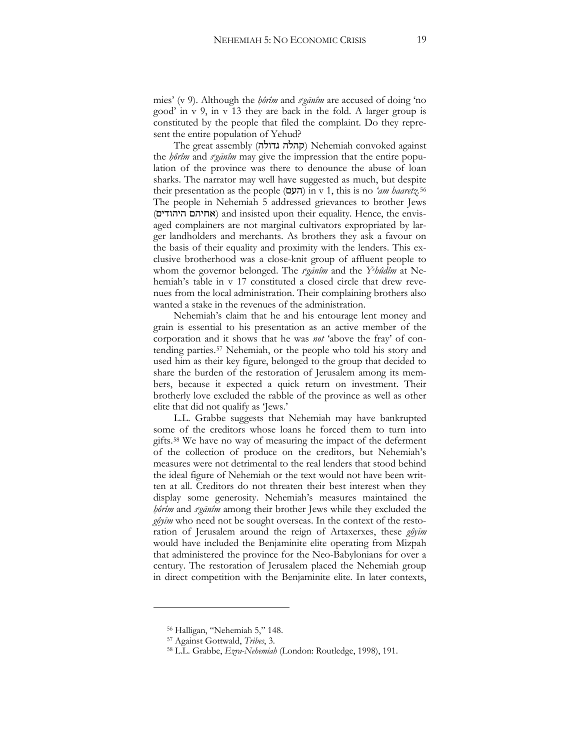mies' (v 9). Although the *hôrîm* and *seganîm* are accused of doing 'no good' in v 9, in v 13 they are back in the fold. A larger group is constituted by the people that filed the complaint. Do they represent the entire population of Yehud?

The great assembly (קהלה גדולה) Nehemiah convoked against the *hôrîm* and *seganîm* may give the impression that the entire population of the province was there to denounce the abuse of loan sharks. The narrator may well have suggested as much, but despite their presentation as the people (-3!) in v 1, this is no *'am haaretz.*[56](#page-18-0) The people in Nehemiah 5 addressed grievances to brother Jews (אחיהם היהודים) and insisted upon their equality. Hence, the envisaged complainers are not marginal cultivators expropriated by larger landholders and merchants. As brothers they ask a favour on the basis of their equality and proximity with the lenders. This exclusive brotherhood was a close-knit group of affluent people to whom the governor belonged. The *seganîm* and the *Yehûdîm* at Nehemiah's table in v 17 constituted a closed circle that drew revenues from the local administration. Their complaining brothers also wanted a stake in the revenues of the administration.

Nehemiah's claim that he and his entourage lent money and grain is essential to his presentation as an active member of the corporation and it shows that he was *not* 'above the fray' of contending parties[.57](#page-18-1) Nehemiah, or the people who told his story and used him as their key figure, belonged to the group that decided to share the burden of the restoration of Jerusalem among its members, because it expected a quick return on investment. Their brotherly love excluded the rabble of the province as well as other elite that did not qualify as 'Jews.'

L.L. Grabbe suggests that Nehemiah may have bankrupted some of the creditors whose loans he forced them to turn into gifts.[58](#page-18-2) We have no way of measuring the impact of the deferment of the collection of produce on the creditors, but Nehemiah's measures were not detrimental to the real lenders that stood behind the ideal figure of Nehemiah or the text would not have been written at all. Creditors do not threaten their best interest when they display some generosity. Nehemiah's measures maintained the hôrîm and *seganîm* among their brother Jews while they excluded the gôyīm who need not be sought overseas. In the context of the restoration of Jerusalem around the reign of Artaxerxes, these *gôyīm* would have included the Benjaminite elite operating from Mizpah that administered the province for the Neo-Babylonians for over a century. The restoration of Jerusalem placed the Nehemiah group in direct competition with the Benjaminite elite. In later contexts,

<span id="page-18-0"></span><sup>56</sup> Halligan, "Nehemiah 5," 148.

<span id="page-18-1"></span><sup>57</sup> Against Gottwald, *Tribes*, 3.

<span id="page-18-2"></span><sup>58</sup> L.L. Grabbe, *Ezra-Nehemiah* (London: Routledge, 1998), 191.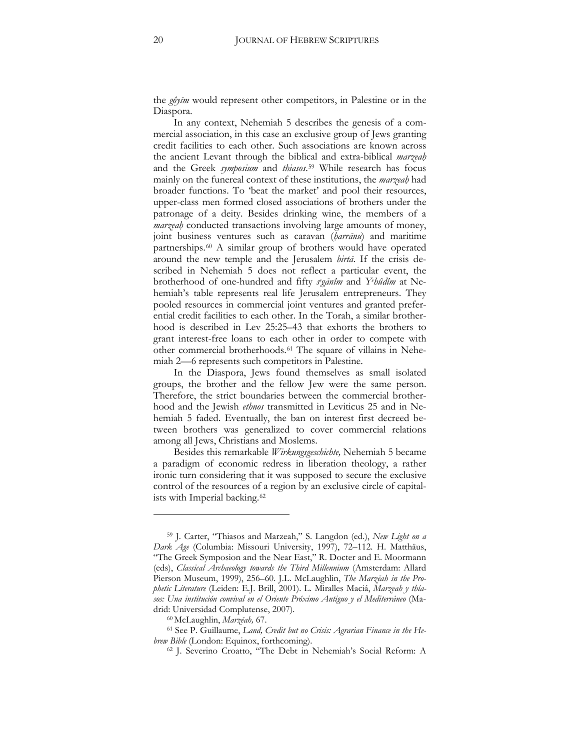the *gôyīm* would represent other competitors, in Palestine or in the Diaspora.

In any context, Nehemiah 5 describes the genesis of a commercial association, in this case an exclusive group of Jews granting credit facilities to each other. Such associations are known across the ancient Levant through the biblical and extra-biblical *marzeah* and the Greek *symposium* and *thiasos*.[59](#page-19-0) While research has focus mainly on the funereal context of these institutions, the *marzeal* had broader functions. To 'beat the market' and pool their resources, upper-class men formed closed associations of brothers under the patronage of a deity. Besides drinking wine, the members of a *marzeah* conducted transactions involving large amounts of money, joint business ventures such as caravan (*harrānu*) and maritime partnerships.[60](#page-19-1) A similar group of brothers would have operated around the new temple and the Jerusalem *birta*. If the crisis described in Nehemiah 5 does not reflect a particular event, the brotherhood of one-hundred and fifty *seganîm* and Yehûdîm at Nehemiah's table represents real life Jerusalem entrepreneurs. They pooled resources in commercial joint ventures and granted preferential credit facilities to each other. In the Torah, a similar brotherhood is described in Lev 25:25–43 that exhorts the brothers to grant interest-free loans to each other in order to compete with other commercial brotherhoods.[61](#page-19-2) The square of villains in Nehemiah 2—6 represents such competitors in Palestine.

In the Diaspora, Jews found themselves as small isolated groups, the brother and the fellow Jew were the same person. Therefore, the strict boundaries between the commercial brotherhood and the Jewish *ethnos* transmitted in Leviticus 25 and in Nehemiah 5 faded. Eventually, the ban on interest first decreed between brothers was generalized to cover commercial relations among all Jews, Christians and Moslems.

Besides this remarkable *Wirkungsgeschichte,* Nehemiah 5 became a paradigm of economic redress in liberation theology, a rather ironic turn considering that it was supposed to secure the exclusive control of the resources of a region by an exclusive circle of capitalists with Imperial backing.[62](#page-20-0)

<span id="page-19-0"></span><sup>59</sup> J. Carter, "Thiasos and Marzeah," S. Langdon (ed.), *New Light on a Dark Age* (Columbia: Missouri University, 1997), 72–112. H. Matthäus, "The Greek Symposion and the Near East," R. Docter and E. Moormann (eds), *Classical Archaeology towards the Third Millennium* (Amsterdam: Allard Pierson Museum, 1999), 256-60. J.L. McLaughlin, *The Marzēah in the Prophetic Literature* (Leiden: E.J. Brill, 2001). L. Miralles Maciá, *Marzeah y thíasos: Una institución convival en el Oriente Próximo Antiguo y el Mediterráneo* (Madrid: Universidad Complutense, 2007).

<sup>&</sup>lt;sup>60</sup> McLaughlin, *Marzēah*, 67.

<span id="page-19-2"></span><span id="page-19-1"></span><sup>61</sup> See P. Guillaume, *Land, Credit but no Crisis: Agrarian Finance in the Hebrew Bible* (London: Equinox, forthcoming).

<sup>62</sup> J. Severino Croatto, "The Debt in Nehemiah's Social Reform: A